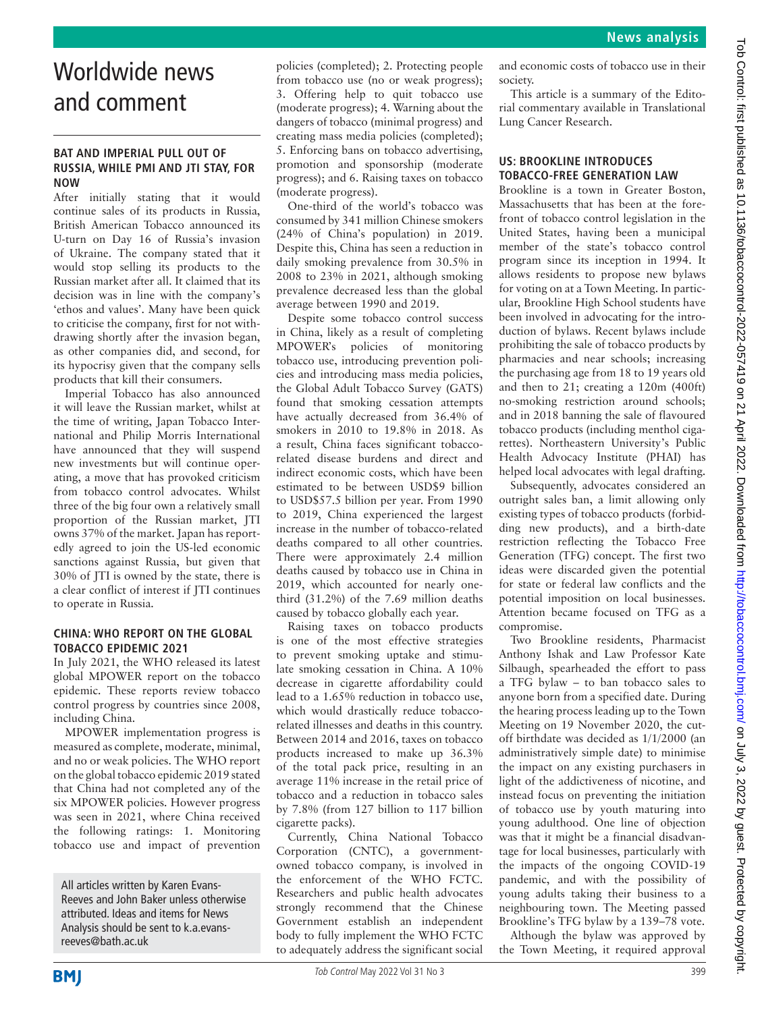# Worldwide news and comment

#### **BAT AND IMPERIAL PULL OUT OF RUSSIA, WHILE PMI AND JTI STAY, FOR NOW**

After initially stating that it would [continue sales of its products in Russia,](https://www.theguardian.com/business/2022/mar/09/british-american-tobacco-continue-selling-cigarettes-russia-rothmans-sanctions) British American Tobacco announced its U-turn on Day 16 of Russia's invasion of Ukraine. The company stated that it [would stop selling its products to the](https://www.theguardian.com/business/2022/mar/11/british-american-tobacco-halts-russia-sales-after-u-turn) [Russian market](https://www.theguardian.com/business/2022/mar/11/british-american-tobacco-halts-russia-sales-after-u-turn) after all. It claimed that its decision was in line with the company's 'ethos and values'. Many have been quick to criticise the company, first for not withdrawing shortly after the invasion began, as other companies did, and second, for its hypocrisy given that the company sells products that kill their consumers.

Imperial Tobacco has also [announced](https://www.imperialbrandsplc.com/media/key-announcements/2022/update-on-russia---ukraine.html) it will leave the Russian market, whilst at the time of writing, [Japan Tobacco Inter](https://www.occrp.org/en/daily/16075-japan-tobacco-company-to-continue-producing-cigarettes-in-russia)[national](https://www.occrp.org/en/daily/16075-japan-tobacco-company-to-continue-producing-cigarettes-in-russia) and [Philip Morris International](https://www.pmi.com/media-center/press-releases/press-details?newsId=24966) have announced that they will suspend new investments but will continue operating, a move that has [provoked criticism](https://www.tobaccofreekids.org/press-releases/2022_03_11_big-tobacco-russia#:~:text=sign%20up-,Philip%20Morris%20and%20Other%20Tobacco%20Giants%20Continue%20to,in%20Russia%2C%20Putting%20Profits%20First&text=WASHINGTON%2C%20D.C.%20%E2%80%93%20Many%20multinational%20corporations,horrific%2C%20unprovoked%20invasion%20of%20Ukraine.) from tobacco control advocates. Whilst three of the big four own a relatively small proportion of the Russian market, JTI owns 37% of the market. Japan has reportedly agreed to join the US-led economic sanctions against Russia, but given that 30% of JTI is owned by the state, there is a clear conflict of interest if JTI continues to operate in Russia.

#### **CHINA: WHO REPORT ON THE GLOBAL TOBACCO EPIDEMIC 2021**

In July 2021, the WHO released its latest [global MPOWER report](https://www.who.int/teams/health-promotion/tobacco-control/global-tobacco-report-2021&publication=9789240032095) on the tobacco epidemic. These reports review tobacco control progress by countries since 2008, including China.

MPOWER implementation progress is measured as complete, moderate, minimal, and no or weak policies. The WHO report on the global tobacco epidemic 2019 stated that China had not completed any of the six MPOWER policies. However progress was seen in [2021,](https://cdn.who.int/media/docs/default-source/country-profiles/tobacco/who_rgte_2021_china.pdf?sfvrsn=5ebb8fb7_5&download=true) where China received the following ratings: 1. Monitoring tobacco use and impact of prevention

policies (completed); 2. Protecting people from tobacco use (no or weak progress); 3. Offering help to quit tobacco use (moderate progress); 4. Warning about the dangers of tobacco (minimal progress) and creating mass media policies (completed); 5. Enforcing bans on tobacco advertising, promotion and sponsorship (moderate progress); and 6. Raising taxes on tobacco (moderate progress).

One-third of the world's tobacco was consumed by 341 million Chinese smokers (24% of China's population) in 2019. Despite this, China has seen a reduction in daily smoking prevalence from 30.5% in 2008 to 23% in 2021, although smoking prevalence decreased less than the global average between 1990 and 2019.

Despite some tobacco control success in China, likely as a result of completing MPOWER's policies of monitoring tobacco use, introducing prevention policies and introducing mass media policies, the Global Adult Tobacco Survey (GATS) found that smoking cessation attempts have actually decreased from 36.4% of smokers in 2010 to 19.8% in 2018. As a result, China faces significant tobaccorelated disease burdens and direct and indirect economic costs, which have been estimated to be between [USD\\$9 billion](http://www.tobaccoinduceddiseases.org/Economic-burden-of-smoking-attributable-diseases-in-China-A-systematic-review,120102,0,2.html)  [to USD\\$57.5 billion per year.](http://www.tobaccoinduceddiseases.org/Economic-burden-of-smoking-attributable-diseases-in-China-A-systematic-review,120102,0,2.html) From 1990 to 2019, China experienced the largest increase in the number of tobacco-related deaths compared to all other countries. There were approximately 2.4 million deaths caused by tobacco use in China in 2019, which accounted for nearly onethird (31.2%) of the 7.69 million deaths caused by tobacco globally each year.

Raising taxes on tobacco products is one of the most effective strategies to prevent smoking uptake and stimulate smoking cessation in China. A 10% decrease in cigarette affordability could lead to a 1.65% reduction in tobacco use, which would drastically reduce tobaccorelated illnesses and deaths in this country. Between 2014 and 2016, taxes on tobacco products increased to make up 36.3% of the total pack price, resulting in an average 11% increase in the retail price of tobacco and a reduction in tobacco sales by 7.8% (from 127 billion to 117 billion cigarette packs).

Currently, China National Tobacco Corporation (CNTC), a governmentowned tobacco company, is involved in the enforcement of the WHO FCTC. Researchers and public health advocates strongly recommend that the Chinese Government establish an independent body to fully implement the WHO FCTC to adequately address the significant social

and economic costs of tobacco use in their society.

This article is a summary of the Editorial commentary available in [Translational](https://tlcr.amegroups.com/article/view/60576/html#B8) [Lung Cancer Research.](https://tlcr.amegroups.com/article/view/60576/html#B8)

## **US: BROOKLINE INTRODUCES TOBACCO-FREE GENERATION LAW**

Brookline is a town in Greater Boston, Massachusetts that has been at the forefront of tobacco control legislation in the United States, having been a municipal member of the state's tobacco control program since its inception in 1994. It allows residents to propose new bylaws for voting on at a Town Meeting. In particular, Brookline High School students have been involved in advocating for the introduction of bylaws. Recent bylaws include prohibiting the sale of tobacco products by pharmacies and near schools; increasing the purchasing age from 18 to 19 years old and then to 21; creating a 120m (400ft) no-smoking restriction around schools; and in 2018 banning the sale of flavoured tobacco products (including menthol cigarettes). Northeastern University's Public Health Advocacy Institute (PHAI) has helped local advocates with legal drafting.

Subsequently, advocates considered an outright sales ban, a limit allowing only existing types of tobacco products (forbidding new products), and a birth-date restriction reflecting the Tobacco Free Generation (TFG) concept. The first two ideas were discarded given the potential for state or federal law conflicts and the potential imposition on local businesses. Attention became focused on TFG as a compromise.

Two Brookline residents, Pharmacist Anthony Ishak and Law Professor Kate Silbaugh, spearheaded the effort to pass a TFG bylaw – to ban tobacco sales to anyone born from a specified date. During the hearing process leading up to the Town Meeting on 19 November 2020, the cutoff birthdate was decided as 1/1/2000 (an administratively simple date) to minimise the impact on any existing purchasers in light of the addictiveness of nicotine, and instead focus on preventing the initiation of tobacco use by youth maturing into young adulthood. One line of objection was that it might be a financial disadvantage for local businesses, particularly with the impacts of the ongoing COVID-19 pandemic, and with the possibility of young adults taking their business to a neighbouring town. The Meeting passed Brookline's TFG bylaw by a 139–78 vote.

Although the bylaw was approved by the Town Meeting, it required approval

All articles written by Karen Evans-Reeves and John Baker unless otherwise attributed. Ideas and items for News Analysis should be sent to k.a.evansreeves@bath.ac.uk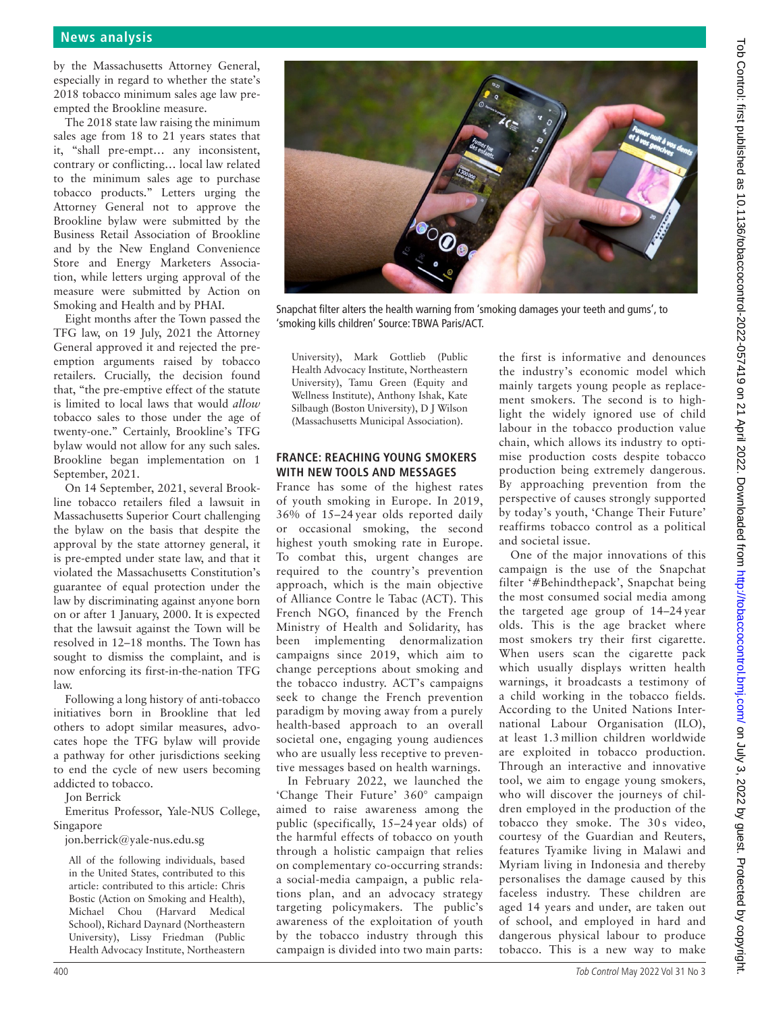#### **News analysis**

by the Massachusetts Attorney General, especially in regard to whether the state's 2018 tobacco minimum sales age law preempted the Brookline measure.

The 2018 state law raising the minimum sales age from 18 to 21 years states that it, "shall pre-empt… any inconsistent, contrary or conflicting… local law related to the minimum sales age to purchase tobacco products." Letters urging the Attorney General not to approve the Brookline bylaw were submitted by the Business Retail Association of Brookline and by the New England Convenience Store and Energy Marketers Association, while letters urging approval of the measure were submitted by Action on Smoking and Health and by PHAI.

Eight months after the Town passed the TFG law, on 19 July, 2021 the Attorney General approved it and rejected the preemption arguments raised by tobacco retailers. Crucially, the decision found that, "the pre-emptive effect of the statute is limited to local laws that would *allow* tobacco sales to those under the age of twenty-one." Certainly, Brookline's TFG bylaw would not allow for any such sales. Brookline began implementation on 1 September, 2021.

On 14 September, 2021, several Brookline tobacco retailers filed a lawsuit in Massachusetts Superior Court challenging the bylaw on the basis that despite the approval by the state attorney general, it is pre-empted under state law, and that it violated the Massachusetts Constitution's guarantee of equal protection under the law by discriminating against anyone born on or after 1 January, 2000. It is expected that the lawsuit against the Town will be resolved in 12–18 months. The Town has sought to dismiss the complaint, and is now enforcing its first-in-the-nation TFG law.

Following a long history of anti-tobacco initiatives born in Brookline that led others to adopt similar measures, advocates hope the TFG bylaw will provide a pathway for other jurisdictions seeking to end the cycle of new users becoming addicted to tobacco.

Jon Berrick

Emeritus Professor, Yale-NUS College, Singapore

jon.berrick@yale-nus.edu.sg

All of the following individuals, based in the United States, contributed to this article: contributed to this article: Chris Bostic (Action on Smoking and Health), Michael Chou (Harvard Medical School), Richard Daynard (Northeastern University), Lissy Friedman (Public Health Advocacy Institute, Northeastern



Snapchat filter alters the health warning from 'smoking damages your teeth and gums', to 'smoking kills children' Source: TBWA Paris/ACT.

University), Mark Gottlieb (Public Health Advocacy Institute, Northeastern University), Tamu Green (Equity and Wellness Institute), Anthony Ishak, Kate Silbaugh (Boston University), D J Wilson (Massachusetts Municipal Association).

## **FRANCE: REACHING YOUNG SMOKERS WITH NEW TOOLS AND MESSAGES**

France has some of the highest rates of youth smoking in Europe. In 2019, [36% of 15–24](https://pubmed.ncbi.nlm.nih.gov/34051921/) year olds reported daily or occasional smoking, the second highest youth smoking rate in Europe. To combat this, urgent changes are required to the country's prevention approach, which is the main objective of [Alliance Contre le Tabac](https://alliancecontreletabac.org/) (ACT). This French NGO, financed by the [French](https://solidarites-sante.gouv.fr/prevention-en-sante/addictions/article/fonds-de-lutte-contre-le-tabac)  [Ministry of Health and Solidarity](https://solidarites-sante.gouv.fr/prevention-en-sante/addictions/article/fonds-de-lutte-contre-le-tabac), has been implementing denormalization campaigns since 2019, which aim to change perceptions about smoking and the tobacco industry. ACT's campaigns seek to change the French prevention paradigm by moving away from a purely health-based approach to an overall societal one, engaging young audiences who are usually less receptive to preventive messages based on health warnings.

In February 2022, we launched the ['Change Their Future'](https://alliancecontreletabac.org/2022/02/17/changeons-leur-futur-stoppons-l-industrie-du-tabac/) 360° campaign aimed to raise awareness among the public (specifically, 15–24 year olds) of the harmful effects of tobacco on youth through a holistic campaign that relies on complementary co-occurring strands: a social-media campaign, a public relations plan, and an advocacy strategy targeting policymakers. The public's awareness of the exploitation of youth by the tobacco industry through this campaign is divided into two main parts: the first is informative and denounces the industry's economic model which mainly targets young people as replacement smokers. The second is to highlight the widely ignored use of child labour in the tobacco production value chain, which allows its industry to optimise production costs despite tobacco production being extremely [dangerous.](https://tobaccotactics.org/wiki/csr-child-labour/) By approaching prevention from the perspective of causes strongly supported by today's youth, ['Change Their Future'](https://www.act-changeonsleurfutur.org/) reaffirms tobacco control as a political and societal issue.

One of the major innovations of this campaign is the use of the Snapchat filter ['#Behindthepack'](https://www.youtube.com/watch?v=JHPsNtf5HSI), Snapchat being the most consumed social media among the targeted age group of 14–24 year olds. This is the age bracket where most smokers try their first cigarette. When users scan the cigarette pack which usually displays written health warnings, it broadcasts a testimony of a child working in the tobacco fields. According to the United Nations International Labour Organisation (ILO), at least 1.3 [million children](https://www.theguardian.com/world/2018/jun/25/revealed-child-labor-rampant-in-tobacco-industry) worldwide are exploited in tobacco production. Through an interactive and innovative tool, we aim to engage young smokers, who will discover the journeys of children employed in the production of the tobacco they smoke. The 30s video, courtesy of the Guardian and Reuters, features [Tyamike](https://www.youtube.com/watch?v=Hxe5GaAEVAQ) living in Malawi and [Myriam](https://www.youtube.com/watch?v=lGr1SpibSo0) living in Indonesia and thereby personalises the damage caused by this faceless industry. These children are aged 14 years and under, are taken out of school, and employed in hard and dangerous physical labour to produce tobacco. This is a new way to make